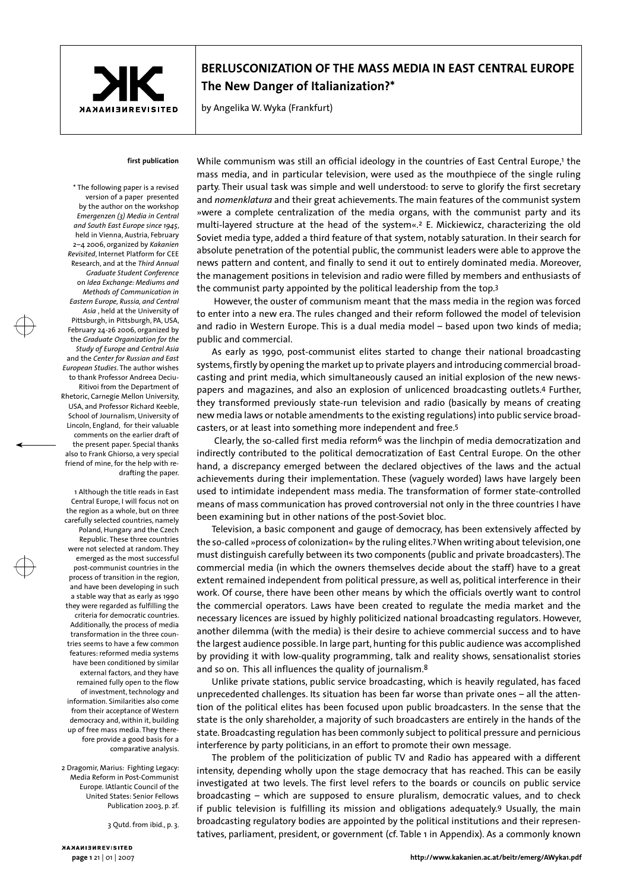

# **BERLUSCONIZATION OF THE MASS MEDIA IN EAST CENTRAL EUROPE The New Danger of Italianization?\***

by Angelika W. Wyka (Frankfurt)

## **first publication**

\* The following paper is a revised version of a paper presented by the author on the workshop *Emergenzen (3) Media in Central and South East Europe since 1945*, held in Vienna, Austria, February 2–4 2006, organized by *Kakanien Revisited*, Internet Platform for CEE Research, and at the *Third Annual Graduate Student Conference* on *Idea Exchange: Mediums and Methods of Communication in Eastern Europe, Russia, and Central Asia* , held at the University of Pittsburgh, in Pittsburgh, PA, USA, February 24-26 2006, organized by the *Graduate Organization for the Study of Europe and Central Asia*  and the *Center for Russian and East European Studies*. The author wishes to thank Professor Andreea Deciu-Ritivoi from the Department of Rhetoric, Carnegie Mellon University, USA, and Professor Richard Keeble, School of Journalism, University of Lincoln, England, for their valuable comments on the earlier draft of the present paper. Special thanks also to Frank Ghiorso, a very special friend of mine, for the help with redrafting the paper.

1 Although the title reads in East Central Europe, I will focus not on the region as a whole, but on three carefully selected countries, namely Poland, Hungary and the Czech Republic. These three countries were not selected at random. They emerged as the most successful post-communist countries in the process of transition in the region, and have been developing in such a stable way that as early as 1990 they were regarded as fulfilling the criteria for democratic countries. Additionally, the process of media transformation in the three countries seems to have a few common features: reformed media systems have been conditioned by similar external factors, and they have remained fully open to the flow of investment, technology and information. Similarities also come from their acceptance of Western democracy and, within it, building up of free mass media. They therefore provide a good basis for a comparative analysis.

2 Dragomir, Marius: Fighting Legacy: Media Reform in Post-Communist Europe. IAtlantic Council of the United States: Senior Fellows Publication 2003, p. 2f.

3 Qutd. from ibid., p. 3.

While communism was still an official ideology in the countries of East Central Europe,<sup>1</sup> the mass media, and in particular television, were used as the mouthpiece of the single ruling party. Their usual task was simple and well understood: to serve to glorify the first secretary and *nomenklatura* and their great achievements. The main features of the communist system »were a complete centralization of the media organs, with the communist party and its multi-layered structure at the head of the system«.2 E. Mickiewicz, characterizing the old Soviet media type, added a third feature of that system, notably saturation. In their search for absolute penetration of the potential public, the communist leaders were able to approve the news pattern and content, and finally to send it out to entirely dominated media. Moreover, the management positions in television and radio were filled by members and enthusiasts of the communist party appointed by the political leadership from the top.3

 However, the ouster of communism meant that the mass media in the region was forced to enter into a new era. The rules changed and their reform followed the model of television and radio in Western Europe. This is a dual media model – based upon two kinds of media; public and commercial.

As early as 1990, post-communist elites started to change their national broadcasting systems, firstly by opening the market up to private players and introducing commercial broadcasting and print media, which simultaneously caused an initial explosion of the new newspapers and magazines, and also an explosion of unlicenced broadcasting outlets.4 Further, they transformed previously state-run television and radio (basically by means of creating new media laws or notable amendments to the existing regulations) into public service broadcasters, or at least into something more independent and free.5

Clearly, the so-called first media reform<sup>6</sup> was the linchpin of media democratization and indirectly contributed to the political democratization of East Central Europe. On the other hand, a discrepancy emerged between the declared objectives of the laws and the actual achievements during their implementation. These (vaguely worded) laws have largely been used to intimidate independent mass media. The transformation of former state-controlled means of mass communication has proved controversial not only in the three countries I have been examining but in other nations of the post-Soviet bloc.

Television, a basic component and gauge of democracy, has been extensively affected by the so-called »process of colonization« by the ruling elites.7 When writing about television, one must distinguish carefully between its two components (public and private broadcasters). The commercial media (in which the owners themselves decide about the staff) have to a great extent remained independent from political pressure, as well as, political interference in their work. Of course, there have been other means by which the officials overtly want to control the commercial operators. Laws have been created to regulate the media market and the necessary licences are issued by highly politicized national broadcasting regulators. However, another dilemma (with the media) is their desire to achieve commercial success and to have the largest audience possible. In large part, hunting for this public audience was accomplished by providing it with low-quality programming, talk and reality shows, sensationalist stories and so on. This all influences the quality of journalism.8

Unlike private stations, public service broadcasting, which is heavily regulated, has faced unprecedented challenges. Its situation has been far worse than private ones – all the attention of the political elites has been focused upon public broadcasters. In the sense that the state is the only shareholder, a majority of such broadcasters are entirely in the hands of the state. Broadcasting regulation has been commonly subject to political pressure and pernicious interference by party politicians, in an effort to promote their own message.

The problem of the politicization of public TV and Radio has appeared with a different intensity, depending wholly upon the stage democracy that has reached. This can be easily investigated at two levels. The first level refers to the boards or councils on public service broadcasting – which are supposed to ensure pluralism, democratic values, and to check if public television is fulfilling its mission and obligations adequately.9 Usually, the main broadcasting regulatory bodies are appointed by the political institutions and their representatives, parliament, president, or government (cf. Table 1 in Appendix). As a commonly known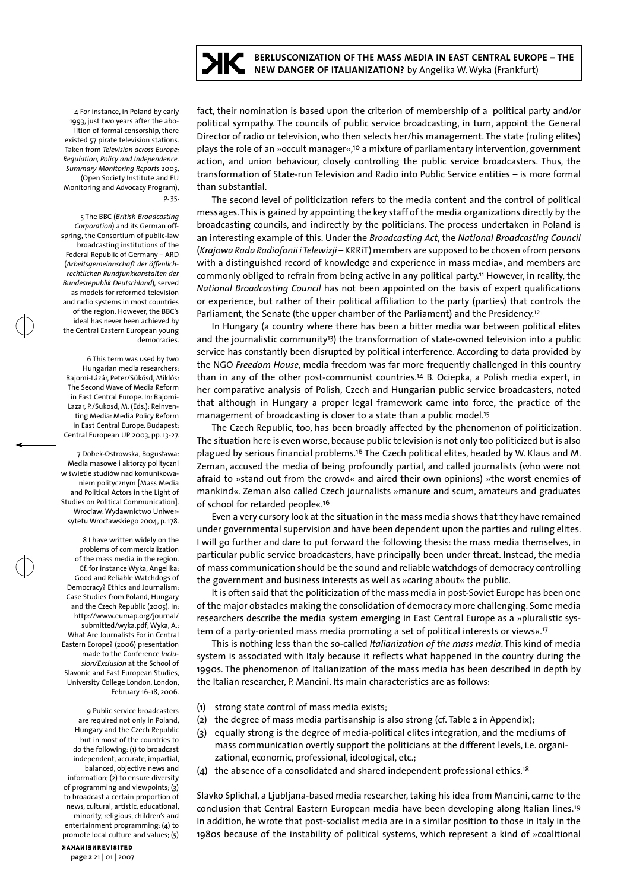

4 For instance, in Poland by early 1993, just two years after the abolition of formal censorship, there existed 57 pirate television stations. Taken from *Television across Europe: Regulation, Policy and Independence. Summary Monitoring Reports* 2005, (Open Society Institute and EU Monitoring and Advocacy Program), p. 35.

5 The BBC (*British Broadcasting Corporation*) and its German offspring, the Consortium of public-law broadcasting institutions of the Federal Republic of Germany – ARD (*Arbeitsgemeinnschaft der öffenlichrechtlichen Rundfunkkanstalten der Bundesrepublik Deutschland*)*,* served as models for reformed television and radio systems in most countries of the region. However, the BBC's ideal has never been achieved by the Central Eastern European young democracies.

6 This term was used by two Hungarian media researchers: Bajomi-Lázár, Peter/Sükösd, Miklós: The Second Wave of Media Reform in East Central Europe. In: Bajomi-Lazar, P./Sukosd, M. (Eds.): Reinventing Media: Media Policy Reform in East Central Europe. Budapest: Central European UP 2003, pp. 13-27.

7 Dobek-Ostrowska, Bogusława: Media masowe i aktorzy polityczni w świetle studiów nad komunikowaniem politycznym [Mass Media and Political Actors in the Light of Studies on Political Communication]. Wrocław: Wydawnictwo Uniwersytetu Wrocławskiego 2004, p. 178.

8 I have written widely on the problems of commercialization of the mass media in the region. Cf. for instance Wyka, Angelika: Good and Reliable Watchdogs of Democracy? Ethics and Journalism: Case Studies from Poland, Hungary and the Czech Republic (2005). In: http://www.eumap.org/journal/ submitted/wyka.pdf; Wyka, A.: What Are Journalists For in Central Eastern Eorope? (2006) presentation made to the Conference *Inclusion/Exclusion* at the School of Slavonic and East European Studies, University College London, London, February 16-18, 2006.

9 Public service broadcasters are required not only in Poland, Hungary and the Czech Republic but in most of the countries to do the following: (1) to broadcast independent, accurate, impartial, balanced, objective news and information; (2) to ensure diversity of programming and viewpoints; (3) to broadcast a certain proportion of news, cultural, artistic, educational, minority, religious, children's and entertainment programming; (4) to promote local culture and values; (5) fact, their nomination is based upon the criterion of membership of a political party and/or political sympathy. The councils of public service broadcasting, in turn, appoint the General Director of radio or television, who then selects her/his management. The state (ruling elites) plays the role of an »occult manager«,10 a mixture of parliamentary intervention, government action, and union behaviour, closely controlling the public service broadcasters. Thus, the transformation of State-run Television and Radio into Public Service entities – is more formal than substantial.

The second level of politicization refers to the media content and the control of political messages. This is gained by appointing the key staff of the media organizations directly by the broadcasting councils, and indirectly by the politicians. The process undertaken in Poland is an interesting example of this. Under the *Broadcasting Act*, the *National Broadcasting Council* (*Krajowa Rada Radiofonii i Telewizji* – KRRiT) members are supposed to be chosen »from persons with a distinguished record of knowledge and experience in mass media«, and members are commonly obliged to refrain from being active in any political party.11 However, in reality, the *National Broadcasting Council* has not been appointed on the basis of expert qualifications or experience, but rather of their political affiliation to the party (parties) that controls the Parliament, the Senate (the upper chamber of the Parliament) and the Presidency.12

In Hungary (a country where there has been a bitter media war between political elites and the journalistic community<sup>13</sup>) the transformation of state-owned television into a public service has constantly been disrupted by political interference. According to data provided by the NGO *Freedom House*, media freedom was far more frequently challenged in this country than in any of the other post-communist countries.14 B. Ociepka, a Polish media expert, in her comparative analysis of Polish, Czech and Hungarian public service broadcasters, noted that although in Hungary a proper legal framework came into force, the practice of the management of broadcasting is closer to a state than a public model.15

The Czech Republic, too, has been broadly affected by the phenomenon of politicization. The situation here is even worse, because public television is not only too politicized but is also plagued by serious financial problems.16 The Czech political elites, headed by W. Klaus and M. Zeman, accused the media of being profoundly partial, and called journalists (who were not afraid to »stand out from the crowd« and aired their own opinions) »the worst enemies of mankind«. Zeman also called Czech journalists »manure and scum, amateurs and graduates of school for retarded people«.16

Even a very cursory look at the situation in the mass media shows that they have remained under governmental supervision and have been dependent upon the parties and ruling elites. I will go further and dare to put forward the following thesis: the mass media themselves, in particular public service broadcasters, have principally been under threat. Instead, the media of mass communication should be the sound and reliable watchdogs of democracy controlling the government and business interests as well as »caring about« the public.

It is often said that the politicization of the mass media in post-Soviet Europe has been one of the major obstacles making the consolidation of democracy more challenging. Some media researchers describe the media system emerging in East Central Europe as a »pluralistic system of a party-oriented mass media promoting a set of political interests or views«.17

This is nothing less than the so-called *Italianization of the mass media*. This kind of media system is associated with Italy because it reflects what happened in the country during the 1990s. The phenomenon of Italianization of the mass media has been described in depth by the Italian researcher, P. Mancini. Its main characteristics are as follows:

- (1) strong state control of mass media exists;
- (2) the degree of mass media partisanship is also strong (cf. Table 2 in Appendix);
- (3) equally strong is the degree of media-political elites integration, and the mediums of mass communication overtly support the politicians at the different levels, i.e. organizational, economic, professional, ideological, etc.;
- (4) the absence of a consolidated and shared independent professional ethics.18

Slavko Splichal, a Ljubljana-based media researcher, taking his idea from Mancini, came to the conclusion that Central Eastern European media have been developing along Italian lines.19 In addition, he wrote that post-socialist media are in a similar position to those in Italy in the 1980s because of the instability of political systems, which represent a kind of »coalitional

NANAMIENREVISITED **page 2** 21 | 01 | 2007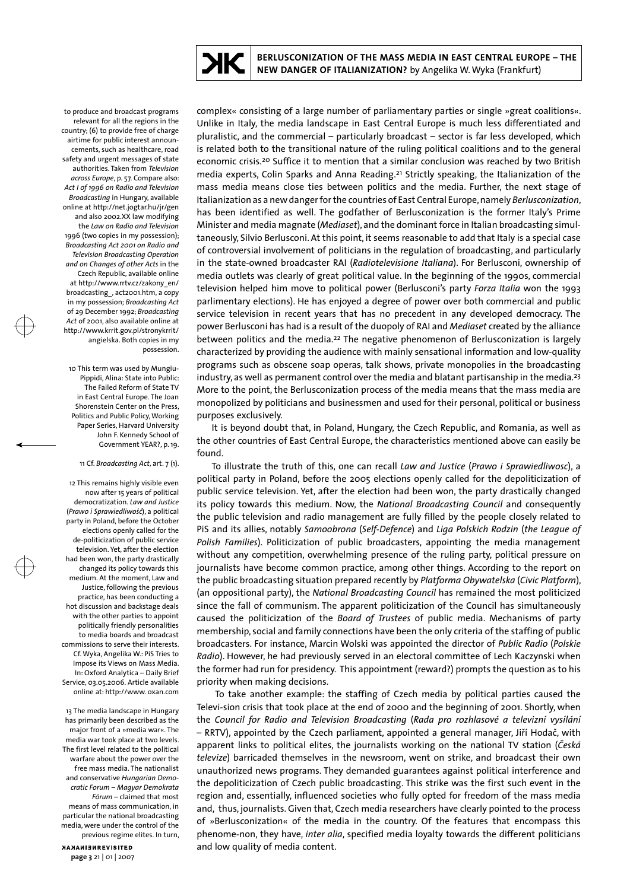to produce and broadcast programs relevant for all the regions in the country; (6) to provide free of charge airtime for public interest announcements, such as healthcare, road safety and urgent messages of state authorities. Taken from *Television across Europe*, p. 57. Compare also: *Act I of 1996 on Radio and Television Broadcasting* in Hungary, available online at http://net.jogtar.hu/jr/gen and also 2002.XX law modifying the *Law on Radio and Television* 1996 (two copies in my possession); *Broadcasting Act 2001 on Radio and Television Broadcasting Operation and on Changes of other Acts* in the Czech Republic, available online at http://www.rrtv.cz/zakony\_en/ broadcasting\_, act2001.htm, a copy in my possession; *Broadcasting Act* of 29 December 1992; *Broadcasting Act* of 2001, also available online at http://www.krrit.gov.pl/stronykrrit/ angielska. Both copies in my possession.

10 This term was used by Mungiu-Pippidi, Alina: State into Public: The Failed Reform of State TV in East Central Europe. The Joan Shorenstein Center on the Press, Politics and Public Policy, Working Paper Series, Harvard University John F. Kennedy School of Government YEAR?, p. 19.

#### 11 Cf. *Broadcasting Act*, art. 7 (1).

12 This remains highly visible even now after 15 years of political democratization. *Law and Justice* (*Prawo i Sprawiedliwość*), a political party in Poland, before the October elections openly called for the de-politicization of public service television. Yet, after the election had been won, the party drastically changed its policy towards this medium. At the moment, Law and Justice, following the previous practice, has been conducting a hot discussion and backstage deals with the other parties to appoint politically friendly personalities to media boards and broadcast commissions to serve their interests. Cf. Wyka, Angelika W.: PiS Tries to Impose its Views on Mass Media. In: Oxford Analytica – Daily Brief Service, 03.05.2006. Article available online at: http://www. oxan.com

13 The media landscape in Hungary has primarily been described as the major front of a »media war«. The media war took place at two levels. The first level related to the political warfare about the power over the free mass media. The nationalist and conservative *Hungarian Democratic Forum* – *Magyar Demokrata Fórum* – claimed that most means of mass communication, in particular the national broadcasting media, were under the control of the previous regime elites. In turn,

NANAMIENREVISITED **page 3** 21 | 01 | 2007 complex« consisting of a large number of parliamentary parties or single »great coalitions«. Unlike in Italy, the media landscape in East Central Europe is much less differentiated and pluralistic, and the commercial – particularly broadcast – sector is far less developed, which is related both to the transitional nature of the ruling political coalitions and to the general economic crisis.20 Suffice it to mention that a similar conclusion was reached by two British media experts, Colin Sparks and Anna Reading.21 Strictly speaking, the Italianization of the mass media means close ties between politics and the media. Further, the next stage of Italianization as a new danger for the countries of East Central Europe, namely *Berlusconization*, has been identified as well. The godfather of Berlusconization is the former Italy's Prime Minister and media magnate (*Mediaset*), and the dominant force in Italian broadcasting simultaneously, Silvio Berlusconi. At this point, it seems reasonable to add that Italy is a special case of controversial involvement of politicians in the regulation of broadcasting, and particularly in the state-owned broadcaster RAI (*Radiotelevisione Italiana*). For Berlusconi, ownership of media outlets was clearly of great political value. In the beginning of the 1990s, commercial television helped him move to political power (Berlusconi's party *Forza Italia* won the 1993 parlimentary elections). He has enjoyed a degree of power over both commercial and public service television in recent years that has no precedent in any developed democracy. The power Berlusconi has had is a result of the duopoly of RAI and *Mediaset* created by the alliance between politics and the media.<sup>22</sup> The negative phenomenon of Berlusconization is largely characterized by providing the audience with mainly sensational information and low-quality programs such as obscene soap operas, talk shows, private monopolies in the broadcasting industry, as well as permanent control over the media and blatant partisanship in the media.23 More to the point, the Berlusconization process of the media means that the mass media are monopolized by politicians and businessmen and used for their personal, political or business purposes exclusively.

It is beyond doubt that, in Poland, Hungary, the Czech Republic, and Romania, as well as the other countries of East Central Europe, the characteristics mentioned above can easily be found.

To illustrate the truth of this, one can recall *Law and Justice* (*Prawo i Sprawiedliwosc*), a political party in Poland, before the 2005 elections openly called for the depoliticization of public service television. Yet, after the election had been won, the party drastically changed its policy towards this medium. Now, the *National Broadcasting Council* and consequently the public television and radio management are fully filled by the people closely related to PiS and its allies, notably *Samoobrona* (*Self-Defence*) and *Liga Polskich Rodzin* (*the League of Polish Families*). Politicization of public broadcasters, appointing the media management without any competition, overwhelming presence of the ruling party, political pressure on journalists have become common practice, among other things. According to the report on the public broadcasting situation prepared recently by *Platforma Obywatelska* (*Civic Platform*), (an oppositional party), the *National Broadcasting Council* has remained the most politicized since the fall of communism. The apparent politicization of the Council has simultaneously caused the politicization of the *Board of Trustees* of public media. Mechanisms of party membership, social and family connections have been the only criteria of the staffing of public broadcasters. For instance, Marcin Wolski was appointed the director of *Public Radio* (*Polskie Radio*). However, he had previously served in an electoral committee of Lech Kaczynski when the former had run for presidency. This appointment (reward?) prompts the question as to his priority when making decisions.

 To take another example: the staffing of Czech media by political parties caused the Televi-sion crisis that took place at the end of 2000 and the beginning of 2001. Shortly, when the *Council for Radio and Television Broadcasting* (*Rada pro rozhlasové a televizní vysílání*  – RRTV), appointed by the Czech parliament, appointed a general manager, Jiří Hodač, with apparent links to political elites, the journalists working on the national TV station (*Česká televize*) barricaded themselves in the newsroom, went on strike, and broadcast their own unauthorized news programs. They demanded guarantees against political interference and the depoliticization of Czech public broadcasting. This strike was the first such event in the region and, essentially, influenced societies who fully opted for freedom of the mass media and, thus, journalists. Given that, Czech media researchers have clearly pointed to the process of »Berlusconization« of the media in the country. Of the features that encompass this phenome-non, they have, *inter alia*, specified media loyalty towards the different politicians and low quality of media content.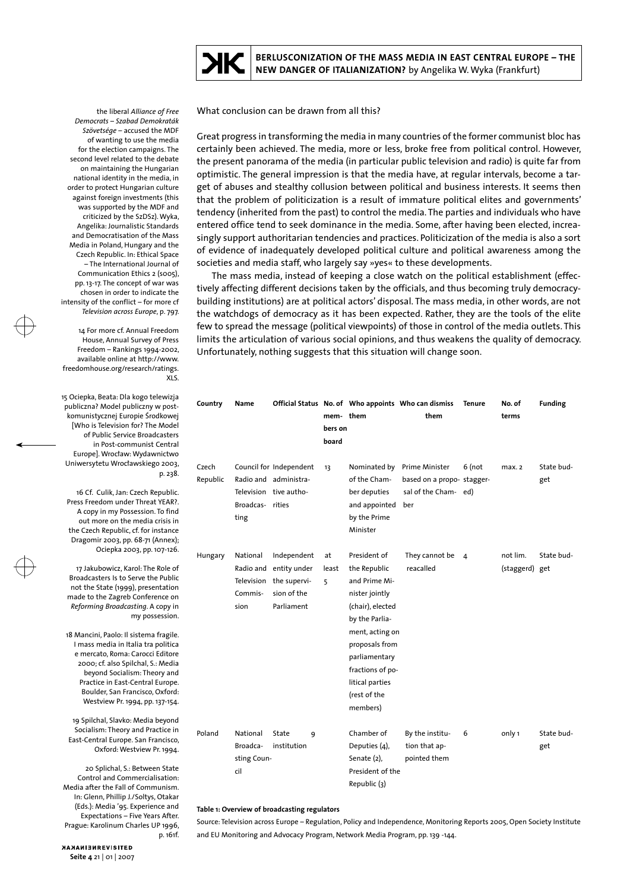

**BERLUSCONIZATION OF THE MASS MEDIA IN EAST CENTRAL EUROPE – THE NEW DANGER OF ITALIANIZATION?** by Angelika W. Wyka (Frankfurt)

What conclusion can be drawn from all this?

Great progress in transforming the media in many countries of the former communist bloc has certainly been achieved. The media, more or less, broke free from political control. However, the present panorama of the media (in particular public television and radio) is quite far from optimistic. The general impression is that the media have, at regular intervals, become a target of abuses and stealthy collusion between political and business interests. It seems then that the problem of politicization is a result of immature political elites and governments' tendency (inherited from the past) to control the media. The parties and individuals who have entered office tend to seek dominance in the media. Some, after having been elected, increasingly support authoritarian tendencies and practices. Politicization of the media is also a sort of evidence of inadequately developed political culture and political awareness among the societies and media staff, who largely say »yes« to these developments.

The mass media, instead of keeping a close watch on the political establishment (effectively affecting different decisions taken by the officials, and thus becoming truly democracybuilding institutions) are at political actors' disposal. The mass media, in other words, are not the watchdogs of democracy as it has been expected. Rather, they are the tools of the elite few to spread the message (political viewpoints) of those in control of the media outlets. This limits the articulation of various social opinions, and thus weakens the quality of democracy. Unfortunately, nothing suggests that this situation will change soon.

| Country           | Name                                       |                                                                                     | mem-them<br>bers on<br>board |                                                                                                                                                                                                                                | Official Status No. of Who appoints Who can dismiss<br>them               | <b>Tenure</b>  | No. of<br>terms            | <b>Funding</b>    |
|-------------------|--------------------------------------------|-------------------------------------------------------------------------------------|------------------------------|--------------------------------------------------------------------------------------------------------------------------------------------------------------------------------------------------------------------------------|---------------------------------------------------------------------------|----------------|----------------------------|-------------------|
| Czech<br>Republic | Broadcas-rities<br>ting                    | Council for Independent<br>Radio and administra-<br>Television tive autho-          | 13                           | Nominated by<br>of the Cham-<br>ber deputies<br>and appointed<br>by the Prime<br>Minister                                                                                                                                      | Prime Minister<br>based on a propo-stagger-<br>sal of the Cham-ed)<br>ber | $6$ (not       | max. 2                     | State bud-<br>get |
| Hungary           | National<br>Radio and<br>Commis-<br>sion   | Independent<br>entity under<br>Television the supervi-<br>sion of the<br>Parliament | at<br>least<br>5             | President of<br>the Republic<br>and Prime Mi-<br>nister jointly<br>(chair), elected<br>by the Parlia-<br>ment, acting on<br>proposals from<br>parliamentary<br>fractions of po-<br>litical parties<br>(rest of the<br>members) | They cannot be<br>reacalled                                               | $\overline{4}$ | not lim.<br>(staggerd) get | State bud-        |
| Poland            | National<br>Broadca-<br>sting Coun-<br>cil | State<br>9<br>institution                                                           |                              | Chamber of<br>Deputies (4),<br>Senate (2),<br>President of the<br>Republic (3)                                                                                                                                                 | By the institu-<br>tion that ap-<br>pointed them                          | 6              | only 1                     | State bud-<br>get |

### **Table 1: Overview of broadcasting regulators**

Source: Television across Europe – Regulation, Policy and Independence, Monitoring Reports 2005, Open Society Institute and EU Monitoring and Advocacy Program, Network Media Program, pp. 139 -144.

 the liberal *Alliance of Free Democrats* – *Szabad Demokraták Szövetsége* – accused the MDF of wanting to use the media for the election campaigns. The second level related to the debate on maintaining the Hungarian national identity in the media, in order to protect Hungarian culture against foreign investments (this was supported by the MDF and criticized by the SzDSz). Wyka, Angelika: Journalistic Standards and Democratisation of the Mass Media in Poland, Hungary and the Czech Republic. In: Ethical Space – The International Journal of Communication Ethics 2 (s005), pp. 13-17. The concept of war was chosen in order to indicate the intensity of the conflict – for more cf *Television across Europe*, p. 797.

14 For more cf. Annual Freedom House, Annual Survey of Press Freedom – Rankings 1994-2002, available online at http://www. freedomhouse.org/research/ratings. XLS.

15 Ociepka, Beata: Dla kogo telewizja publiczna? Model publiczny w postkomunistycznej Europie Środkowej [Who is Television for? The Model of Public Service Broadcasters in Post-communist Central Europe]. Wrocław: Wydawnictwo Uniwersytetu Wrocławskiego 2003, p. 238.

16 Cf. Culik, Jan: Czech Republic. Press Freedom under Threat YEAR?. A copy in my Possession. To find out more on the media crisis in the Czech Republic, cf. for instance Dragomir 2003, pp. 68-71 (Annex); Ociepka 2003, pp. 107-126.

17 Jakubowicz, Karol: The Role of Broadcasters Is to Serve the Public not the State (1999), presentation made to the Zagreb Conference on *Reforming Broadcasting*. A copy in my possession.

18 Mancini, Paolo: Il sistema fragile. I mass media in Italia tra politica e mercato, Roma: Carocci Editore 2000; cf. also Spilchal, S.: Media beyond Socialism: Theory and Practice in East-Central Europe. Boulder, San Francisco, Oxford: Westview Pr. 1994, pp. 137-154.

19 Spilchal, Slavko: Media beyond Socialism: Theory and Practice in East-Central Europe. San Francisco, Oxford: Westview Pr. 1994.

20 Splichal, S.: Between State Control and Commercialisation: Media after the Fall of Communism. In: Glenn, Phillip J./Soltys, Otakar (Eds.): Media '95. Experience and Expectations – Five Years After. Prague: Karolinum Charles UP 1996, p. 161f.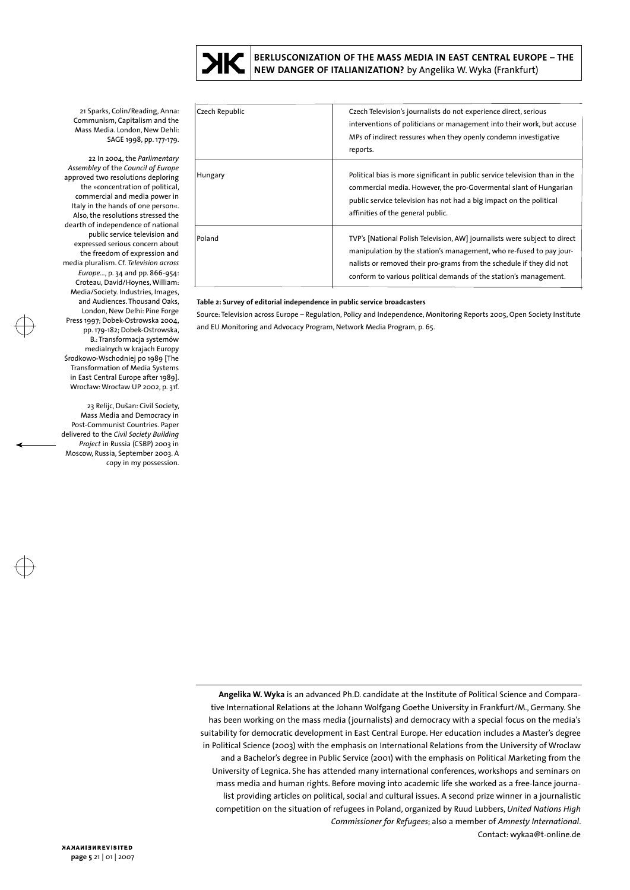

**BERLUSCONIZATION OF THE MASS MEDIA IN EAST CENTRAL EUROPE – THE NEW DANGER OF ITALIANIZATION?** by Angelika W. Wyka (Frankfurt)

21 Sparks, Colin/Reading, Anna: Communism, Capitalism and the Mass Media. London, New Dehli: SAGE 1998, pp. 177-179.

22 In 2004, the *Parlimentary Assembley* of the *Council of Europe* approved two resolutions deploring the »concentration of political, commercial and media power in Italy in the hands of one person«. Also, the resolutions stressed the dearth of independence of national public service television and expressed serious concern about the freedom of expression and media pluralism. Cf. *Television across Europe...*, p. 34 and pp. 866-954: Croteau, David/Hoynes, William: Media/Society. Industries, Images, and Audiences. Thousand Oaks, London, New Delhi: Pine Forge Press 1997; Dobek-Ostrowska 2004, pp. 179-182; Dobek-Ostrowska, B.: Transformacja systemów medialnych w krajach Europy Środkowo-Wschodniej po 1989 [The Transformation of Media Systems in East Central Europe after 1989]. Wrocław: Wrocław UP 2002, p. 31f.

23 Relijc, Dušan: Civil Society, Mass Media and Democracy in Post-Communist Countries. Paper delivered to the *Civil Society Building Project* in Russia (CSBP) 2003 in Moscow, Russia, September 2003. A copy in my possession.

| Czech Republic | Czech Television's journalists do not experience direct, serious<br>interventions of politicians or management into their work, but accuse<br>MPs of indirect ressures when they openly condemn investigative<br>reports.                                                                     |
|----------------|-----------------------------------------------------------------------------------------------------------------------------------------------------------------------------------------------------------------------------------------------------------------------------------------------|
| Hungary        | Political bias is more significant in public service television than in the<br>commercial media. However, the pro-Govermental slant of Hungarian<br>public service television has not had a big impact on the political<br>affinities of the general public.                                  |
| Poland         | TVP's [National Polish Television, AW] journalists were subject to direct<br>manipulation by the station's management, who re-fused to pay jour-<br>nalists or removed their pro-grams from the schedule if they did not<br>conform to various political demands of the station's management. |

## **Table 2: Survey of editorial independence in public service broadcasters**

Source: Television across Europe – Regulation, Policy and Independence, Monitoring Reports 2005, Open Society Institute and EU Monitoring and Advocacy Program, Network Media Program, p. 65.

**Angelika W. Wyka** is an advanced Ph.D. candidate at the Institute of Political Science and Comparative International Relations at the Johann Wolfgang Goethe University in Frankfurt/M., Germany. She has been working on the mass media (journalists) and democracy with a special focus on the media's suitability for democratic development in East Central Europe. Her education includes a Master's degree in Political Science (2003) with the emphasis on International Relations from the University of Wroclaw and a Bachelor's degree in Public Service (2001) with the emphasis on Political Marketing from the University of Legnica. She has attended many international conferences, workshops and seminars on mass media and human rights. Before moving into academic life she worked as a free-lance journalist providing articles on political, social and cultural issues. A second prize winner in a journalistic competition on the situation of refugees in Poland, organized by Ruud Lubbers, *United Nations High Commissioner for Refugees*; also a member of *Amnesty International*. Contact: wykaa@t-online.de

NANAMISHREVISITED **page 5** 21 | 01 | 2007